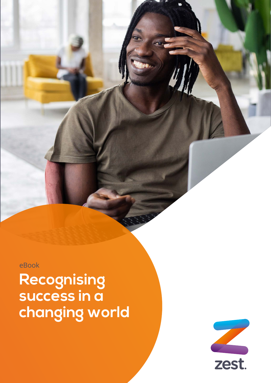eBook

**Recognising success in a changing world**

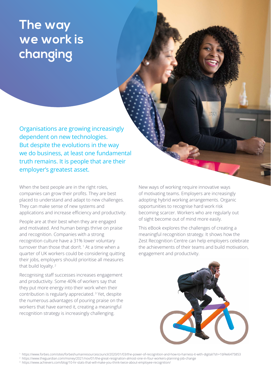# **The way we work is changing**

Organisations are growing increasingly dependent on new technologies. But despite the evolutions in the way we do business, at least one fundamental truth remains. It is people that are their employer's greatest asset.

When the best people are in the right roles, companies can grow their profits. They are best placed to understand and adapt to new challenges. They can make sense of new systems and applications and increase efficiency and productivity.

People are at their best when they are engaged and motivated. And human beings thrive on praise and recognition. Companies with a strong recognition culture have a 31% lower voluntary turnover than those that don't<sup>1</sup> At a time when a quarter of UK workers could be considering quitting their jobs, employers should prioritise all measures that build loyalty.<sup>2</sup>

Recognising staff successes increases engagement and productivity. Some 40% of workers say that they put more energy into their work when their contribution is regularly appreciated. 3 Yet, despite the numerous advantages of pouring praise on the workers that have earned it, creating a meaningful recognition strategy is increasingly challenging.

New ways of working require innovative ways of motivating teams. Employers are increasingly adopting hybrid working arrangements. Organic opportunities to recognise hard work risk becoming scarcer. Workers who are regularly out of sight become out of mind more easily.

This eBook explores the challenges of creating a meaningful recognition strategy. It shows how the Zest Recognition Centre can help employers celebrate the achievements of their teams and build motivation, engagement and productivity.



<sup>1</sup> https://www.forbes.com/sites/forbeshumanresourcescouncil/2020/01/03/the-power-of-recognition-and-how-to-harness-it-with-digital/?sh=1bf4e6475853

<sup>2</sup> https://www.theguardian.com/money/2021/nov/01/the-great-resignation-almost-one-in-four-workers-planning-job-change

<sup>3</sup> https://www.achievers.com/blog/10-hr-stats-that-will-make-you-think-twice-about-employee-recognition/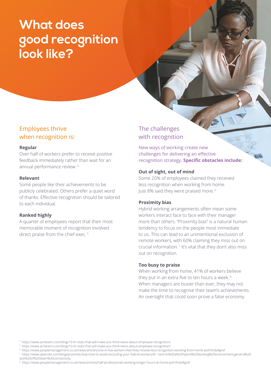# **What does good recognition look like?**

## Employees thrive when recognition is:

#### **Regular**

Over half of workers prefer to receive positive feedback immediately rather than wait for an annual performance review. 4

#### **Relevant**

Some people like their achievements to be publicly celebrated. Others prefer a quiet word of thanks. Effective recognition should be tailored to each individual.

#### **Ranked highly**

A quarter of employees report that their most memorable moment of recognition involved direct praise from the chief exec.<sup>5</sup>

# The challenges with recognition

New ways of working create new challenges for delivering an effective recognition strategy. **Specific obstacles include:**

#### **Out of sight, out of mind**

Some 20% of employees claimed they received less recognition when working from home. Just 8% said they were praised more. 6

### **Proximity bias**

Hybrid working arrangements often mean some workers interact face to face with their manager more than others. "Proximity bias" is a natural human tendency to focus on the people most immediate to us. This can lead to an unintentional exclusion of remote workers, with 60% claiming they miss out on crucial information. 7 It's vital that they don't also miss out on recognition.

#### **Too busy to praise**

When working from home, 41% of workers believe they put in an extra five to ten hours a week. 8 When managers are busier than ever, they may not make the time to recognise their team's achievements. An oversight that could soon prove a false economy.

<sup>4</sup> https://www.achievers.com/blog/10-hr-stats-that-will-make-you-think-twice-about-employee-recognition/

<sup>5</sup> https://www.achievers.com/blog/10-hr-stats-that-will-make-you-think-twice-about-employee-recognition/

<sup>6</sup> https://www.peoplemanagement.co.uk/news/articles/one-in-five-workers-feel-they-receive-less-recognition-working-from-home-poll-finds#gref

<sup>7</sup> https://www.qlearsite.com/blog/proximity-bias-how-to-avoid-excluding-your-hybrid-workers/#:~:text=In%20a%20hybrid%20working%20environment,general%20 lack%20of%20team%20connectivity.

<sup>8</sup> https://www.peoplemanagement.co.uk/news/articles/half-professionals-working-longer-hours-at-home-poll-finds#gref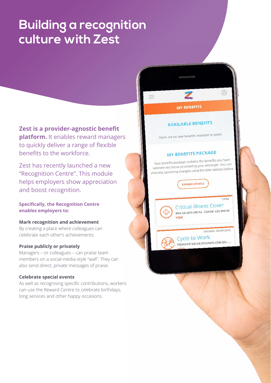# **Building a recognition culture with Zest**

**Zest is a provider-agnostic benefit platform.** It enables reward managers to quickly deliver a range of flexible benefits to the workforce.

Zest has recently launched a new "Recognition Centre". This module helps employers show appreciation and boost recognition.

## **Specifically, the Recognition Centre enables employers to:**

#### **Mark recognition and achievement**

By creating a place where colleagues can celebrate each other's achievements.

#### **Praise publicly or privately**

Managers – or colleagues – can praise team members on a social-media-style "wall". They can also send direct, private messages of praise.

### **Celebrate special events**

As well as recognising specific contributions, workers can use the Reward Centre to celebrate birthdays, long services and other happy occasions.

**MY BENEFITS** 

## **AVAILABLE BENEFITS**

There are no new benefits available to select.

## **MY BENEFITS PACKAGE**

Your benefits package contains the benefits you have<br>Nour benefits package contains the benefits you can Your benefits package contains the benefits you have<br>selected and those provided by your employer. You can selected and those provided by your employer. The care<br>view any upcoming changes using the date selector below.

**EXPAND DETAILS** 

 $CORF$ 

 $\mathbb{Q}$ 

**Critical Illness Cover** 90% SALARY (90 %) - COVER: £26,955.00 VIEW

ENDING 30/09/2018